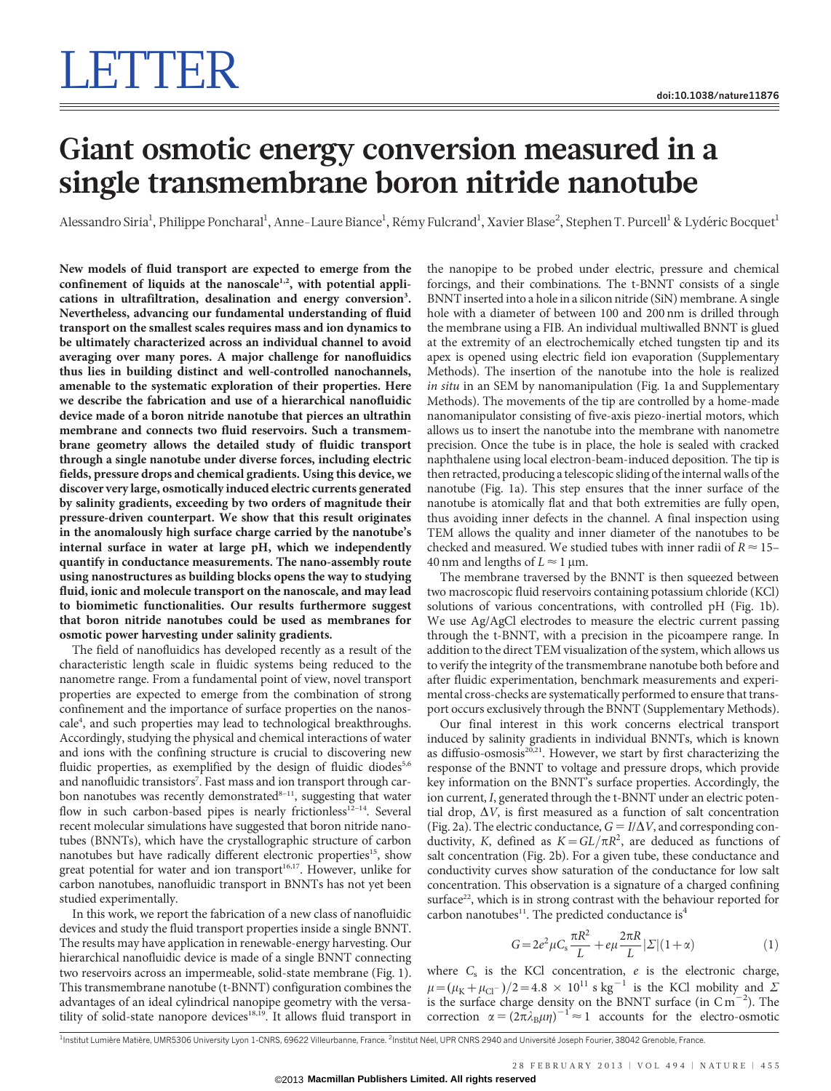## Giant osmotic energy conversion measured in a single transmembrane boron nitride nanotube

Alessandro Siria<sup>1</sup>, Philippe Poncharal<sup>1</sup>, Anne-Laure Biance<sup>1</sup>, Rémy Fulcrand<sup>1</sup>, Xavier Blase<sup>2</sup>, Stephen T. Purcell<sup>1</sup> & Lydéric Bocquet<sup>1</sup>

New models of fluid transport are expected to emerge from the confinement of liquids at the nanoscale<sup>1,2</sup>, with potential applications in ultrafiltration, desalination and energy conversion<sup>3</sup>. Nevertheless, advancing our fundamental understanding of fluid transport on the smallest scales requires mass and ion dynamics to be ultimately characterized across an individual channel to avoid averaging over many pores. A major challenge for nanofluidics thus lies in building distinct and well-controlled nanochannels, amenable to the systematic exploration of their properties. Here we describe the fabrication and use of a hierarchical nanofluidic device made of a boron nitride nanotube that pierces an ultrathin membrane and connects two fluid reservoirs. Such a transmembrane geometry allows the detailed study of fluidic transport through a single nanotube under diverse forces, including electric fields, pressure drops and chemical gradients. Using this device, we discover very large, osmotically induced electric currents generated by salinity gradients, exceeding by two orders of magnitude their pressure-driven counterpart. We show that this result originates in the anomalously high surface charge carried by the nanotube's internal surface in water at large pH, which we independently quantify in conductance measurements. The nano-assembly route using nanostructures as building blocks opens the way to studying fluid, ionic and molecule transport on the nanoscale, and may lead to biomimetic functionalities. Our results furthermore suggest that boron nitride nanotubes could be used as membranes for osmotic power harvesting under salinity gradients.

The field of nanofluidics has developed recently as a result of the characteristic length scale in fluidic systems being reduced to the nanometre range. From a fundamental point of view, novel transport properties are expected to emerge from the combination of strong confinement and the importance of surface properties on the nanoscale<sup>4</sup>, and such properties may lead to technological breakthroughs. Accordingly, studying the physical and chemical interactions of water and ions with the confining structure is crucial to discovering new fluidic properties, as exemplified by the design of fluidic diodes $5,6$ and nanofluidic transistors<sup>7</sup>. Fast mass and ion transport through carbon nanotubes was recently demonstrated $8-11$ , suggesting that water flow in such carbon-based pipes is nearly frictionless<sup>12-14</sup>. Several recent molecular simulations have suggested that boron nitride nanotubes (BNNTs), which have the crystallographic structure of carbon nanotubes but have radically different electronic properties<sup>15</sup>, show great potential for water and ion transport<sup>16,17</sup>. However, unlike for carbon nanotubes, nanofluidic transport in BNNTs has not yet been studied experimentally.

In this work, we report the fabrication of a new class of nanofluidic devices and study the fluid transport properties inside a single BNNT. The results may have application in renewable-energy harvesting. Our hierarchical nanofluidic device is made of a single BNNT connecting two reservoirs across an impermeable, solid-state membrane (Fig. 1). This transmembrane nanotube (t-BNNT) configuration combines the advantages of an ideal cylindrical nanopipe geometry with the versatility of solid-state nanopore devices<sup>18,19</sup>. It allows fluid transport in

the nanopipe to be probed under electric, pressure and chemical forcings, and their combinations. The t-BNNT consists of a single BNNT inserted into a hole in a silicon nitride (SiN) membrane. A single hole with a diameter of between 100 and 200 nm is drilled through the membrane using a FIB. An individual multiwalled BNNT is glued at the extremity of an electrochemically etched tungsten tip and its apex is opened using electric field ion evaporation (Supplementary Methods). The insertion of the nanotube into the hole is realized in situ in an SEM by nanomanipulation (Fig. 1a and Supplementary Methods). The movements of the tip are controlled by a home-made nanomanipulator consisting of five-axis piezo-inertial motors, which allows us to insert the nanotube into the membrane with nanometre precision. Once the tube is in place, the hole is sealed with cracked naphthalene using local electron-beam-induced deposition. The tip is then retracted, producing a telescopic sliding of the internal walls of the nanotube (Fig. 1a). This step ensures that the inner surface of the nanotube is atomically flat and that both extremities are fully open, thus avoiding inner defects in the channel. A final inspection using TEM allows the quality and inner diameter of the nanotubes to be checked and measured. We studied tubes with inner radii of  $R \approx 15-$ 40 nm and lengths of  $L \approx 1 \,\mu$ m.

The membrane traversed by the BNNT is then squeezed between two macroscopic fluid reservoirs containing potassium chloride (KCl) solutions of various concentrations, with controlled pH (Fig. 1b). We use Ag/AgCl electrodes to measure the electric current passing through the t-BNNT, with a precision in the picoampere range. In addition to the direct TEM visualization of the system, which allows us to verify the integrity of the transmembrane nanotube both before and after fluidic experimentation, benchmark measurements and experimental cross-checks are systematically performed to ensure that transport occurs exclusively through the BNNT (Supplementary Methods).

Our final interest in this work concerns electrical transport induced by salinity gradients in individual BNNTs, which is known as diffusio-osmosis<sup>20,21</sup>. However, we start by first characterizing the response of the BNNT to voltage and pressure drops, which provide key information on the BNNT's surface properties. Accordingly, the ion current, I, generated through the t-BNNT under an electric potential drop,  $\Delta V$ , is first measured as a function of salt concentration (Fig. 2a). The electric conductance,  $G = I/\Delta V$ , and corresponding conductivity, K, defined as  $K=GL/\pi R^2$ , are deduced as functions of salt concentration (Fig. 2b). For a given tube, these conductance and conductivity curves show saturation of the conductance for low salt concentration. This observation is a signature of a charged confining surface<sup>22</sup>, which is in strong contrast with the behaviour reported for carbon nanotubes<sup>11</sup>. The predicted conductance is<sup>4</sup>

$$
G = 2e^2\mu C_s \frac{\pi R^2}{L} + e\mu \frac{2\pi R}{L} |\Sigma|(1+\alpha)
$$
 (1)

where  $C_s$  is the KCl concentration,  $e$  is the electronic charge,  $\mu = (\mu_K + \mu_{Cl^-})/2 = 4.8 \times 10^{11}$  s kg<sup>-1</sup> is the KCl mobility and  $\Sigma$ is the surface charge density on the BNNT surface (in  $\text{C m}^{-2}$ ). The correction  $\alpha = (2\pi \lambda_B \mu \eta)^{-1} \approx 1$  accounts for the electro-osmotic

<sup>1</sup>Institut Lumière Matière, UMR5306 University Lyon 1-CNRS, 69622 Villeurbanne, France. <sup>2</sup>Institut Néel, UPR CNRS 2940 and Université Joseph Fourier, 38042 Grenoble, France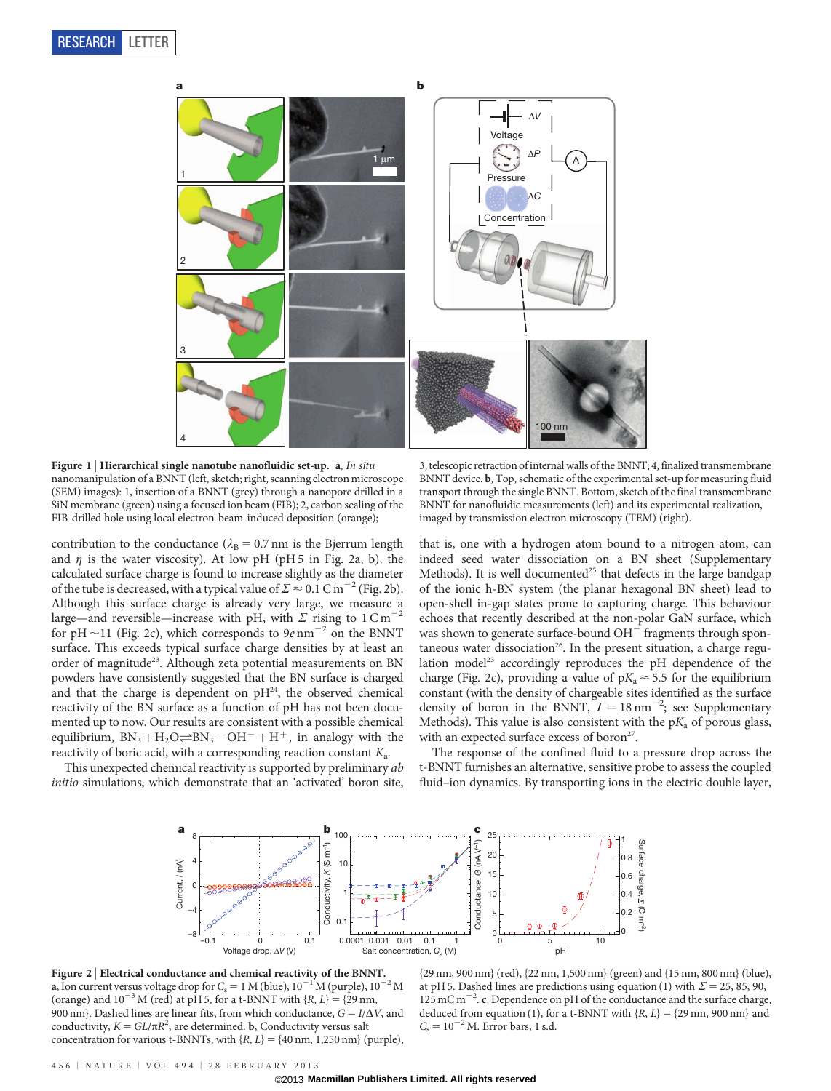

Figure 1 | Hierarchical single nanotube nanofluidic set-up. a, In situ nanomanipulation of a BNNT (left, sketch; right, scanning electron microscope (SEM) images): 1, insertion of a BNNT (grey) through a nanopore drilled in a SiN membrane (green) using a focused ion beam (FIB); 2, carbon sealing of the FIB-drilled hole using local electron-beam-induced deposition (orange);

contribution to the conductance ( $\lambda_B = 0.7$  nm is the Bjerrum length and  $\eta$  is the water viscosity). At low pH (pH 5 in Fig. 2a, b), the calculated surface charge is found to increase slightly as the diameter of the tube is decreased, with a typical value of  $\Sigma \approx 0.1$  C m<sup>-2</sup> (Fig. 2b). Although this surface charge is already very large, we measure a large—and reversible—increase with pH, with  $\Sigma$  rising to  $1\text{ C m}^{-1}$ for pH  $\sim$ 11 (Fig. 2c), which corresponds to 9e nm<sup>-2</sup> on the BNNT surface. This exceeds typical surface charge densities by at least an order of magnitude<sup>23</sup>. Although zeta potential measurements on BN powders have consistently suggested that the BN surface is charged and that the charge is dependent on  $pH^{24}$ , the observed chemical reactivity of the BN surface as a function of pH has not been documented up to now. Our results are consistent with a possible chemical equilibrium,  $BN_3 + H_2O \rightleftharpoons BN_3-OH^- + H^+$ , in analogy with the reactivity of boric acid, with a corresponding reaction constant  $K_a$ .

This unexpected chemical reactivity is supported by preliminary ab initio simulations, which demonstrate that an 'activated' boron site,

3, telescopic retraction of internal walls of the BNNT; 4, finalized transmembrane BNNT device. b, Top, schematic of the experimental set-up for measuring fluid transport through the single BNNT. Bottom, sketch of the final transmembrane BNNT for nanofluidic measurements (left) and its experimental realization, imaged by transmission electron microscopy (TEM) (right).

that is, one with a hydrogen atom bound to a nitrogen atom, can indeed seed water dissociation on a BN sheet (Supplementary Methods). It is well documented<sup>25</sup> that defects in the large bandgap of the ionic h-BN system (the planar hexagonal BN sheet) lead to open-shell in-gap states prone to capturing charge. This behaviour echoes that recently described at the non-polar GaN surface, which was shown to generate surface-bound OH<sup>-</sup> fragments through spontaneous water dissociation<sup>26</sup>. In the present situation, a charge regulation model<sup>23</sup> accordingly reproduces the pH dependence of the charge (Fig. 2c), providing a value of  $pK_a \approx 5.5$  for the equilibrium constant (with the density of chargeable sites identified as the surface density of boron in the BNNT,  $\Gamma = 18 \text{ nm}^{-2}$ ; see Supplementary Methods). This value is also consistent with the  $pK_a$  of porous glass, with an expected surface excess of boron<sup>27</sup>.

The response of the confined fluid to a pressure drop across the t-BNNT furnishes an alternative, sensitive probe to assess the coupled fluid–ion dynamics. By transporting ions in the electric double layer,



Figure 2 <sup>|</sup> Electrical conductance and chemical reactivity of the BNNT.  $\mathbf a$  Ion current versus voltage drop for  $C_\mathrm{s}=1$  M (blue),  $10^{-1}$  M (purple),  $10^{-2}$  M (orange) and  $10^{-3}$  M (red) at pH 5, for a t-BNNT with  $\{R, L\} = \{29 \text{ nm},$ 900 nm}. Dashed lines are linear fits, from which conductance,  $G = I/\Delta V$ , and conductivity,  $K = GL/\pi R^2$ , are determined. **b**, Conductivity versus salt concentration for various t-BNNTs, with  $\{R, L\} = \{40 \text{ nm}, 1,250 \text{ nm}\}$  (purple),

{29 nm, 900 nm} (red), {22 nm, 1,500 nm} (green) and {15 nm, 800 nm} (blue), at pH 5. Dashed lines are predictions using equation (1) with  $\Sigma = 25, 85, 90$ , 125 mC m<sup>-2</sup>. c, Dependence on pH of the conductance and the surface charge, deduced from equation (1), for a t-BNNT with  $\{R, L\} = \{29 \text{ nm}, 900 \text{ nm}\}\$  and  $C_s = 10^{-2}$  M. Error bars, 1 s.d.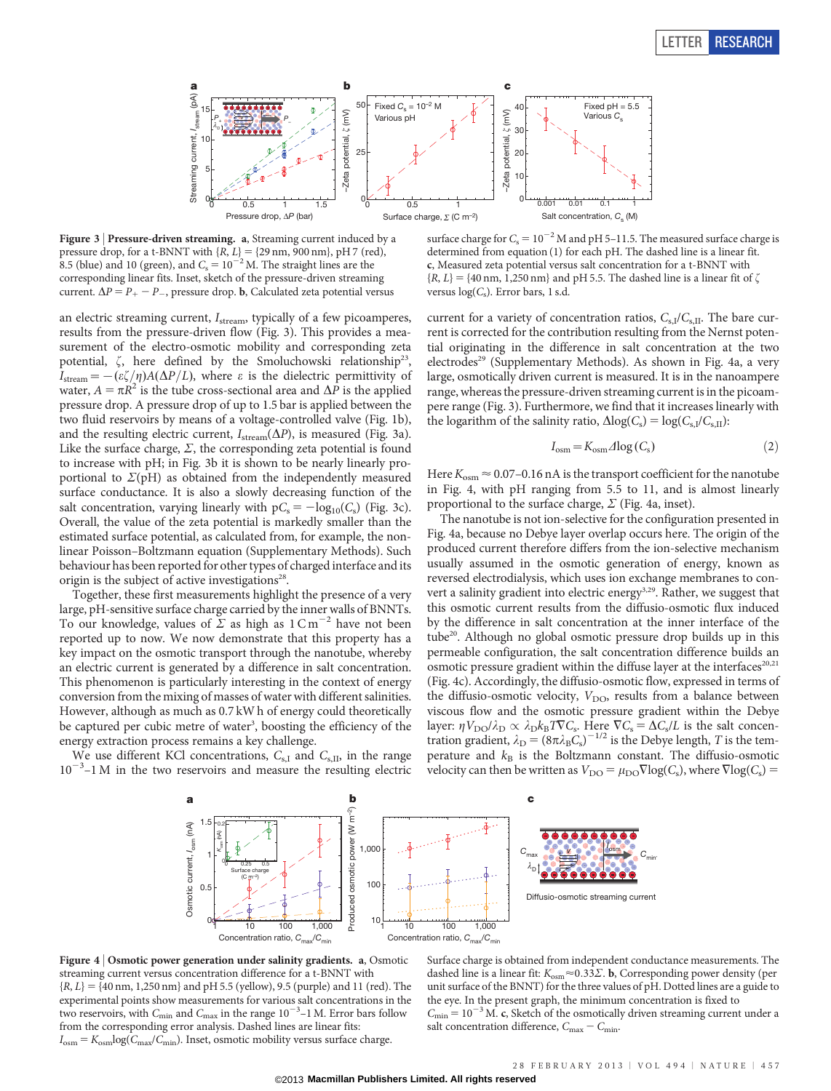

Figure 3 | Pressure-driven streaming. a, Streaming current induced by a pressure drop, for a t-BNNT with  $\{R, L\} = \{29 \text{ nm}, 900 \text{ nm}\}, \text{pH 7 (red)},$ 8.5 (blue) and 10 (green), and  $C_s = 10^{-2}$  M. The straight lines are the corresponding linear fits. Inset, sketch of the pressure-driven streaming current.  $\Delta P = P_+ - P_-\$ , pressure drop. **b**, Calculated zeta potential versus

an electric streaming current,  $I_{\text{stream}}$ , typically of a few picoamperes, results from the pressure-driven flow (Fig. 3). This provides a measurement of the electro-osmotic mobility and corresponding zeta potential,  $\zeta$ , here defined by the Smoluchowski relationship<sup>23</sup>,  $I_{\text{stream}}=-(\varepsilon\zeta/\eta)A(\Delta P/L)$ , where  $\varepsilon$  is the dielectric permittivity of water,  $A = \pi R^2$  is the tube cross-sectional area and  $\Delta P$  is the applied pressure drop. A pressure drop of up to 1.5 bar is applied between the two fluid reservoirs by means of a voltage-controlled valve (Fig. 1b), and the resulting electric current,  $I_{\text{stream}}(\Delta P)$ , is measured (Fig. 3a). Like the surface charge,  $\Sigma$ , the corresponding zeta potential is found to increase with pH; in Fig. 3b it is shown to be nearly linearly proportional to  $\Sigma$ (pH) as obtained from the independently measured surface conductance. It is also a slowly decreasing function of the salt concentration, varying linearly with  $pC_s = -log_{10}(C_s)$  (Fig. 3c). Overall, the value of the zeta potential is markedly smaller than the estimated surface potential, as calculated from, for example, the nonlinear Poisson–Boltzmann equation (Supplementary Methods). Such behaviour has been reported for other types of charged interface and its origin is the subject of active investigations<sup>28</sup>.

Together, these first measurements highlight the presence of a very large, pH-sensitive surface charge carried by the inner walls of BNNTs. To our knowledge, values of  $\Sigma$  as high as  $1 \text{ C m}^{-2}$  have not been reported up to now. We now demonstrate that this property has a key impact on the osmotic transport through the nanotube, whereby an electric current is generated by a difference in salt concentration. This phenomenon is particularly interesting in the context of energy conversion from the mixing of masses of water with different salinities. However, although as much as 0.7 kW h of energy could theoretically be captured per cubic metre of water<sup>3</sup>, boosting the efficiency of the energy extraction process remains a key challenge.

We use different KCl concentrations,  $C_{s,I}$  and  $C_{s,I}$ , in the range  $10^{-3}$ –1 M in the two reservoirs and measure the resulting electric

surface charge for  $C_{\rm s}=$  10  $^{-2}$  M and pH 5–11.5. The measured surface charge is determined from equation (1) for each pH. The dashed line is a linear fit. c, Measured zeta potential versus salt concentration for a t-BNNT with  ${R, L} = {40 \text{ nm}, 1,250 \text{ nm}}$  and pH 5.5. The dashed line is a linear fit of  $\zeta$ versus  $log(C_s)$ . Error bars, 1 s.d.

current for a variety of concentration ratios,  $C_{s,I}/C_{s,II}$ . The bare current is corrected for the contribution resulting from the Nernst potential originating in the difference in salt concentration at the two electrodes<sup>29</sup> (Supplementary Methods). As shown in Fig. 4a, a very large, osmotically driven current is measured. It is in the nanoampere range, whereas the pressure-driven streaming current is in the picoampere range (Fig. 3). Furthermore, we find that it increases linearly with the logarithm of the salinity ratio,  $\Delta$ log( $C_s$ ) = log( $C_{sI}/C_{sII}$ ):

$$
I_{\text{osm}} = K_{\text{osm}} \Delta \log(C_{\text{s}})
$$
 (2)

Here  $K_{\text{osm}} \approx 0.07$  –0.16 nA is the transport coefficient for the nanotube in Fig. 4, with pH ranging from 5.5 to 11, and is almost linearly proportional to the surface charge,  $\Sigma$  (Fig. 4a, inset).

The nanotube is not ion-selective for the configuration presented in Fig. 4a, because no Debye layer overlap occurs here. The origin of the produced current therefore differs from the ion-selective mechanism usually assumed in the osmotic generation of energy, known as reversed electrodialysis, which uses ion exchange membranes to convert a salinity gradient into electric energy<sup>3,29</sup>. Rather, we suggest that this osmotic current results from the diffusio-osmotic flux induced by the difference in salt concentration at the inner interface of the tube<sup>20</sup>. Although no global osmotic pressure drop builds up in this permeable configuration, the salt concentration difference builds an osmotic pressure gradient within the diffuse layer at the interfaces<sup>20,21</sup> (Fig. 4c). Accordingly, the diffusio-osmotic flow, expressed in terms of the diffusio-osmotic velocity,  $V_{\text{DO}}$ , results from a balance between viscous flow and the osmotic pressure gradient within the Debye layer:  $\eta V_{\text{DO}}/\lambda_{\text{D}} \propto \lambda_{\text{D}} k_{\text{B}} T \nabla C_{\text{s}}$ . Here  $\nabla C_{\text{s}} = \Delta C_{\text{s}}/L$  is the salt concentration gradient,  $\lambda_D = (8\pi\lambda_B C_s)^{-1/2}$  is the Debye length, T is the temperature and  $k_B$  is the Boltzmann constant. The diffusio-osmotic velocity can then be written as  $V_{\text{DO}} = \mu_{\text{DO}} \nabla \log(C_s)$ , where  $\nabla \log(C_s)$ 



Figure 4 | Osmotic power generation under salinity gradients. a, Osmotic streaming current versus concentration difference for a t-BNNT with  ${R, L} = {40 \text{ nm}, 1,250 \text{ nm}}$  and pH 5.5 (yellow), 9.5 (purple) and 11 (red). The experimental points show measurements for various salt concentrations in the two reservoirs, with  $C_{\text{min}}$  and  $C_{\text{max}}$  in the range  $10^{-3}$ –1 M. Error bars follow from the corresponding error analysis. Dashed lines are linear fits:  $I_{\text{osm}} = K_{\text{osm}} \log(C_{\text{max}}/C_{\text{min}})$ . Inset, osmotic mobility versus surface charge.

Surface charge is obtained from independent conductance measurements. The dashed line is a linear fit:  $K_{\text{osm}} \approx 0.33 \Sigma$ . **b**, Corresponding power density (per unit surface of the BNNT) for the three values of pH. Dotted lines are a guide to the eye. In the present graph, the minimum concentration is fixed to  $C_{\text{min}} = 10^{-3}$  M. c, Sketch of the osmotically driven streaming current under a salt concentration difference,  $C_{\text{max}} - C_{\text{min}}$ .